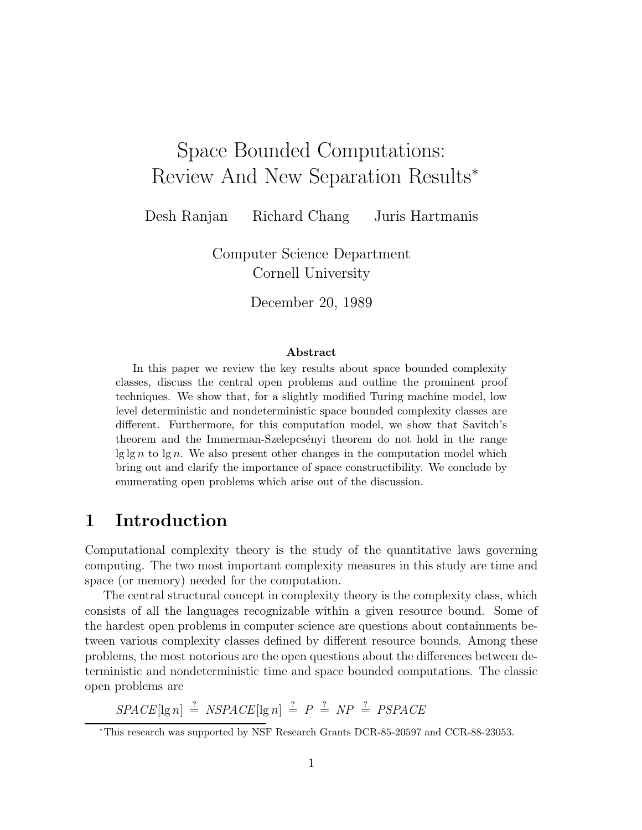# Space Bounded Computations: Review And New Separation Results<sup>∗</sup>

Desh Ranjan Richard Chang Juris Hartmanis

Computer Science Department Cornell University

December 20, 1989

#### Abstract

In this paper we review the key results about space bounded complexity classes, discuss the central open problems and outline the prominent proof techniques. We show that, for a slightly modified Turing machine model, low level deterministic and nondeterministic space bounded complexity classes are different. Furthermore, for this computation model, we show that Savitch's theorem and the Immerman-Szelepcsenyi theorem do not hold in the range  $\lg \lg n$  to  $\lg n$ . We also present other changes in the computation model which bring out and clarify the importance of space constructibility. We conclude by enumerating open problems which arise out of the discussion.

### 1 Introduction

Computational complexity theory is the study of the quantitative laws governing computing. The two most important complexity measures in this study are time and space (or memory) needed for the computation.

The central structural concept in complexity theory is the complexity class, which consists of all the languages recognizable within a given resource bound. Some of the hardest open problems in computer science are questions about containments between various complexity classes defined by different resource bounds. Among these problems, the most notorious are the open questions about the differences between deterministic and nondeterministic time and space bounded computations. The classic open problems are

 $SPACE[lg n] \stackrel{?}{=} NSPACE[lg n] \stackrel{?}{=} P \stackrel{?}{=} NP \stackrel{?}{=} PSPACE$ 

<sup>∗</sup>This research was supported by NSF Research Grants DCR-85-20597 and CCR-88-23053.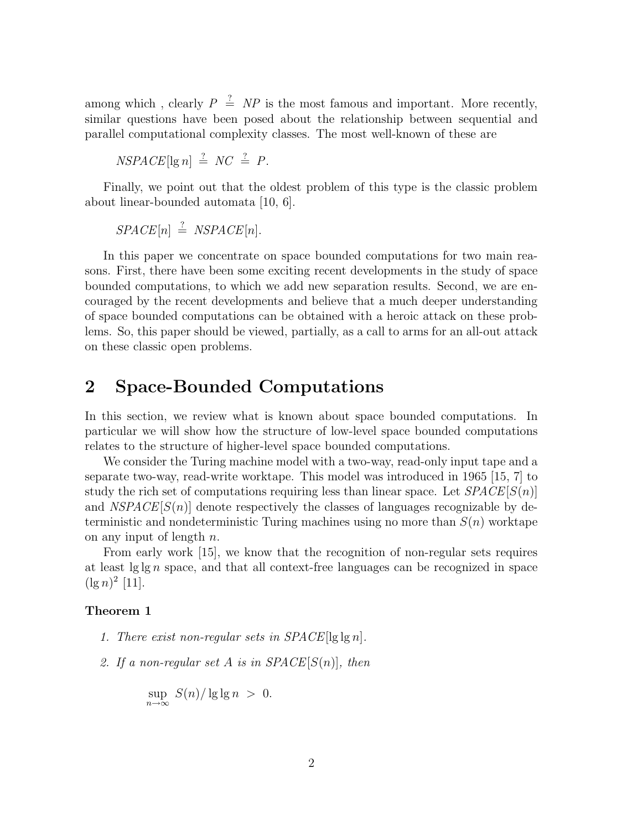among which, clearly  $P \stackrel{?}{=} NP$  is the most famous and important. More recently, similar questions have been posed about the relationship between sequential and parallel computational complexity classes. The most well-known of these are

$$
NSPACE[\lg n] \stackrel{?}{=} NC \stackrel{?}{=} P.
$$

Finally, we point out that the oldest problem of this type is the classic problem about linear-bounded automata [10, 6].

 $SPACE[n] \stackrel{?}{=} NSPACE[n].$ 

In this paper we concentrate on space bounded computations for two main reasons. First, there have been some exciting recent developments in the study of space bounded computations, to which we add new separation results. Second, we are encouraged by the recent developments and believe that a much deeper understanding of space bounded computations can be obtained with a heroic attack on these problems. So, this paper should be viewed, partially, as a call to arms for an all-out attack on these classic open problems.

# 2 Space-Bounded Computations

In this section, we review what is known about space bounded computations. In particular we will show how the structure of low-level space bounded computations relates to the structure of higher-level space bounded computations.

We consider the Turing machine model with a two-way, read-only input tape and a separate two-way, read-write worktape. This model was introduced in 1965 [15, 7] to study the rich set of computations requiring less than linear space. Let  $SPACE[S(n)]$ and  $NSPACE[S(n)]$  denote respectively the classes of languages recognizable by deterministic and nondeterministic Turing machines using no more than  $S(n)$  worktape on any input of length  $n$ .

From early work [15], we know that the recognition of non-regular sets requires at least  $\lg \lg n$  space, and that all context-free languages can be recognized in space  $(\lg n)^2$  [11].

#### Theorem 1

- 1. There exist non-regular sets in  $SPACE[lg \lg n]$ .
- 2. If a non-regular set A is in  $SPACE[S(n)]$ , then

$$
\sup_{n \to \infty} S(n)/\lg \lg n > 0.
$$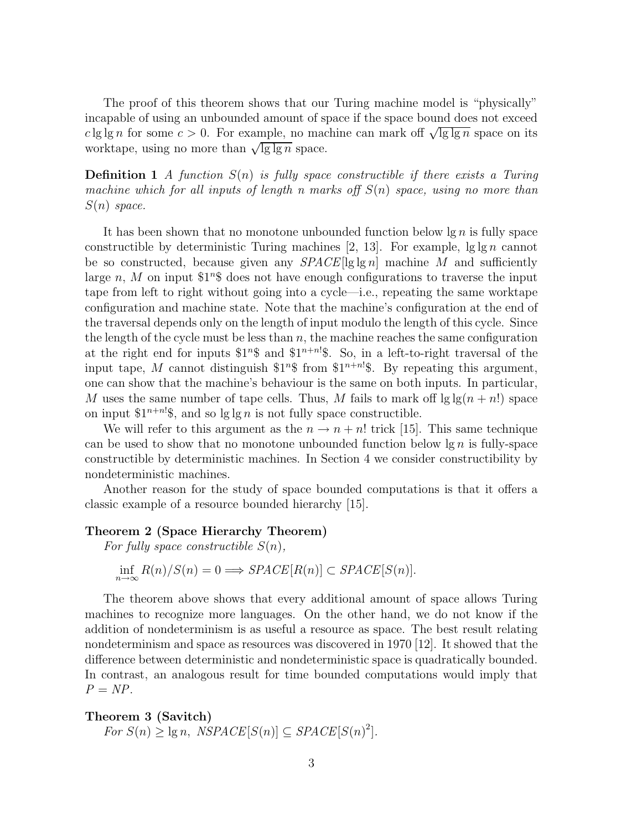The proof of this theorem shows that our Turing machine model is "physically" incapable of using an unbounded amount of space if the space bound does not exceed c lg lg n for some  $c > 0$ . For example, no machine can mark off  $\sqrt{\lg \lg n}$  space on its worktape, using no more than  $\sqrt{\lg \lg n}$  space.

**Definition 1** A function  $S(n)$  is fully space constructible if there exists a Turing machine which for all inputs of length n marks off  $S(n)$  space, using no more than  $S(n)$  space.

It has been shown that no monotone unbounded function below  $\lg n$  is fully space constructible by deterministic Turing machines [2, 13]. For example,  $\lg \lg n$  cannot be so constructed, because given any  $SPACE[lg \lg n]$  machine M and sufficiently large n, M on input  $1^n$  does not have enough configurations to traverse the input tape from left to right without going into a cycle—i.e., repeating the same worktape configuration and machine state. Note that the machine's configuration at the end of the traversal depends only on the length of input modulo the length of this cycle. Since the length of the cycle must be less than  $n$ , the machine reaches the same configuration at the right end for inputs  $1^n$  and  $1^{n+n!}$ . So, in a left-to-right traversal of the input tape, M cannot distinguish  $1^n$  from  $1^{n+n}$ . By repeating this argument, one can show that the machine's behaviour is the same on both inputs. In particular, M uses the same number of tape cells. Thus, M fails to mark off  $\lg \lg(n + n!)$  space on input  $1^{n+n}$ ; and so lg lg n is not fully space constructible.

We will refer to this argument as the  $n \to n + n!$  trick [15]. This same technique can be used to show that no monotone unbounded function below  $\lg n$  is fully-space constructible by deterministic machines. In Section 4 we consider constructibility by nondeterministic machines.

Another reason for the study of space bounded computations is that it offers a classic example of a resource bounded hierarchy [15].

#### Theorem 2 (Space Hierarchy Theorem)

For fully space constructible  $S(n)$ ,

$$
\inf_{n \to \infty} R(n)/S(n) = 0 \Longrightarrow SPACE[R(n)] \subset SPACE[S(n)].
$$

The theorem above shows that every additional amount of space allows Turing machines to recognize more languages. On the other hand, we do not know if the addition of nondeterminism is as useful a resource as space. The best result relating nondeterminism and space as resources was discovered in 1970 [12]. It showed that the difference between deterministic and nondeterministic space is quadratically bounded. In contrast, an analogous result for time bounded computations would imply that  $P = NP$ .

### Theorem 3 (Savitch) For  $S(n) \ge \lg n$ ,  $NSPACE[S(n)] \subseteq SPACE[S(n)^{2}]$ .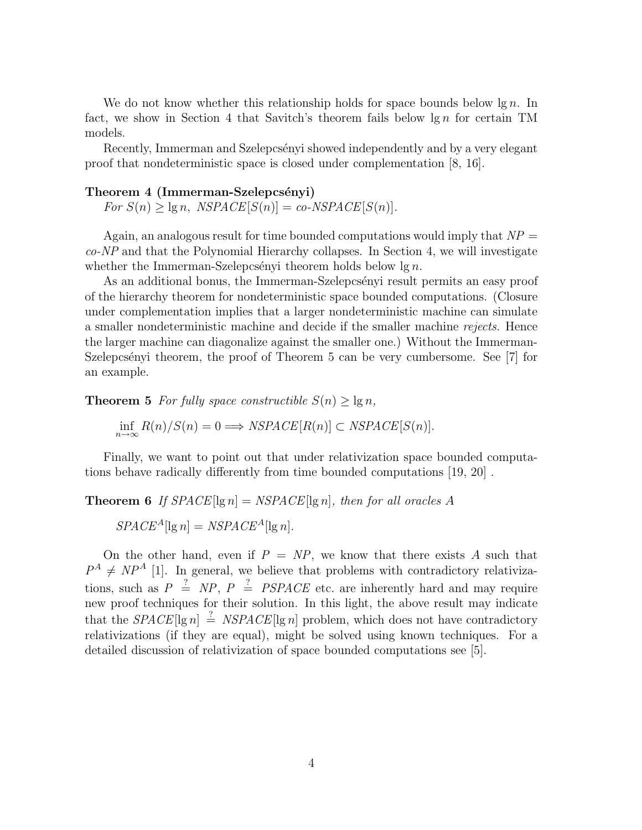We do not know whether this relationship holds for space bounds below  $\lg n$ . In fact, we show in Section 4 that Savitch's theorem fails below  $\lg n$  for certain TM models.

Recently, Immerman and Szelepcsényi showed independently and by a very elegant proof that nondeterministic space is closed under complementation [8, 16].

#### Theorem 4 (Immerman-Szelepcsényi)

 $For S(n) \geq \lg n$ ,  $NSPACE[S(n)] = co-NSPACE[S(n)]$ .

Again, an analogous result for time bounded computations would imply that  $NP =$  $co-NP$  and that the Polynomial Hierarchy collapses. In Section 4, we will investigate whether the Immerman-Szelepcsényi theorem holds below  $\lg n$ .

As an additional bonus, the Immerman-Szelepcsényi result permits an easy proof of the hierarchy theorem for nondeterministic space bounded computations. (Closure under complementation implies that a larger nondeterministic machine can simulate a smaller nondeterministic machine and decide if the smaller machine rejects. Hence the larger machine can diagonalize against the smaller one.) Without the Immerman-Szelepcsényi theorem, the proof of Theorem 5 can be very cumbersome. See [7] for an example.

**Theorem 5** For fully space constructible  $S(n) \geq \lg n$ ,

$$
\inf_{n \to \infty} R(n)/S(n) = 0 \Longrightarrow NSPACE[R(n)] \subset NSPACE[S(n)].
$$

Finally, we want to point out that under relativization space bounded computations behave radically differently from time bounded computations [19, 20] .

**Theorem 6** If 
$$
SPACE[\lg n] = NSPACE[\lg n]
$$
, then for all oracles A  
\n $SPACE^A[\lg n] = NSPACE^A[\lg n]$ .

On the other hand, even if  $P = NP$ , we know that there exists A such that  $P^A \neq NP^A$  [1]. In general, we believe that problems with contradictory relativizations, such as  $P \triangleq NP$ ,  $P \triangleq PSPACE$  etc. are inherently hard and may require new proof techniques for their solution. In this light, the above result may indicate that the  $SPACE[lg n] \stackrel{?}{=} NSPACE[lg n]$  problem, which does not have contradictory relativizations (if they are equal), might be solved using known techniques. For a detailed discussion of relativization of space bounded computations see [5].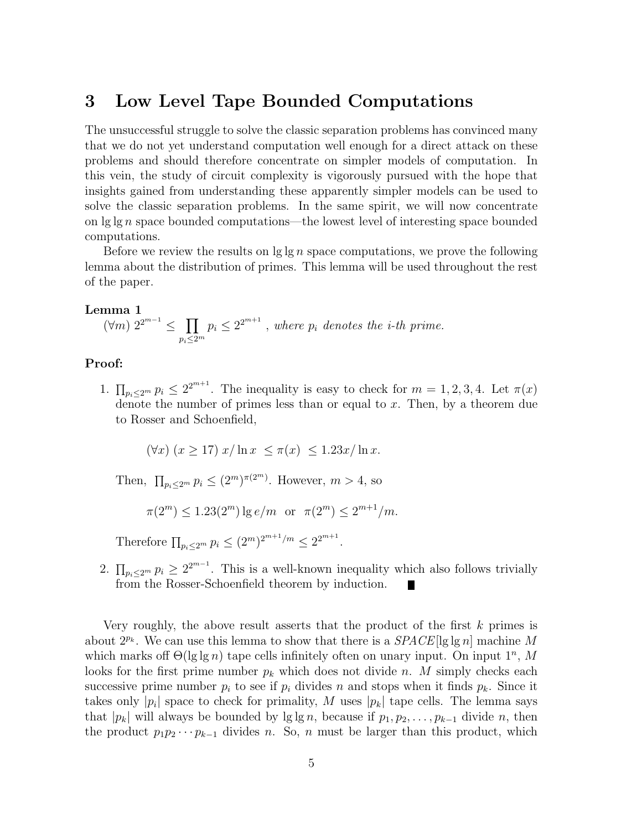# 3 Low Level Tape Bounded Computations

The unsuccessful struggle to solve the classic separation problems has convinced many that we do not yet understand computation well enough for a direct attack on these problems and should therefore concentrate on simpler models of computation. In this vein, the study of circuit complexity is vigorously pursued with the hope that insights gained from understanding these apparently simpler models can be used to solve the classic separation problems. In the same spirit, we will now concentrate on  $\lg \lg n$  space bounded computations—the lowest level of interesting space bounded computations.

Before we review the results on  $\lg \lg n$  space computations, we prove the following lemma about the distribution of primes. This lemma will be used throughout the rest of the paper.

#### Lemma 1

$$
(\forall m) \; 2^{2^{m-1}} \leq \prod_{p_i \leq 2^m} p_i \leq 2^{2^{m+1}}, \text{ where } p_i \text{ denotes the } i\text{-th prime.}
$$

#### Proof:

1.  $\prod_{p_i\leq 2^m} p_i \leq 2^{2^{m+1}}$ . The inequality is easy to check for  $m=1,2,3,4$ . Let  $\pi(x)$ denote the number of primes less than or equal to  $x$ . Then, by a theorem due to Rosser and Schoenfield,

 $(\forall x)(x \ge 17) x/\ln x \le \pi(x) \le 1.23x/\ln x$ .

Then,  $\prod_{p_i\leq 2^m} p_i \leq (2^m)^{\pi(2^m)}$ . However,  $m > 4$ , so

$$
\pi(2^m) \le 1.23(2^m) \lg e/m \text{ or } \pi(2^m) \le 2^{m+1}/m.
$$

Therefore  $\prod_{p_i \leq 2^m} p_i \leq (2^m)^{2^{m+1}/m} \leq 2^{2^{m+1}}$ .

2.  $\prod_{p_i\leq 2^m} p_i \geq 2^{2^{m-1}}$ . This is a well-known inequality which also follows trivially from the Rosser-Schoenfield theorem by induction. П

Very roughly, the above result asserts that the product of the first  $k$  primes is about  $2^{p_k}$ . We can use this lemma to show that there is a  $SPACE[lg \lg n]$  machine M which marks of  $\Theta(\lg \lg n)$  tape cells infinitely often on unary input. On input  $1^n$ , M looks for the first prime number  $p_k$  which does not divide n. M simply checks each successive prime number  $p_i$  to see if  $p_i$  divides n and stops when it finds  $p_k$ . Since it takes only  $|p_i|$  space to check for primality, M uses  $|p_k|$  tape cells. The lemma says that  $|p_k|$  will always be bounded by  $\lg \lg n$ , because if  $p_1, p_2, \ldots, p_{k-1}$  divide n, then the product  $p_1p_2\cdots p_{k-1}$  divides n. So, n must be larger than this product, which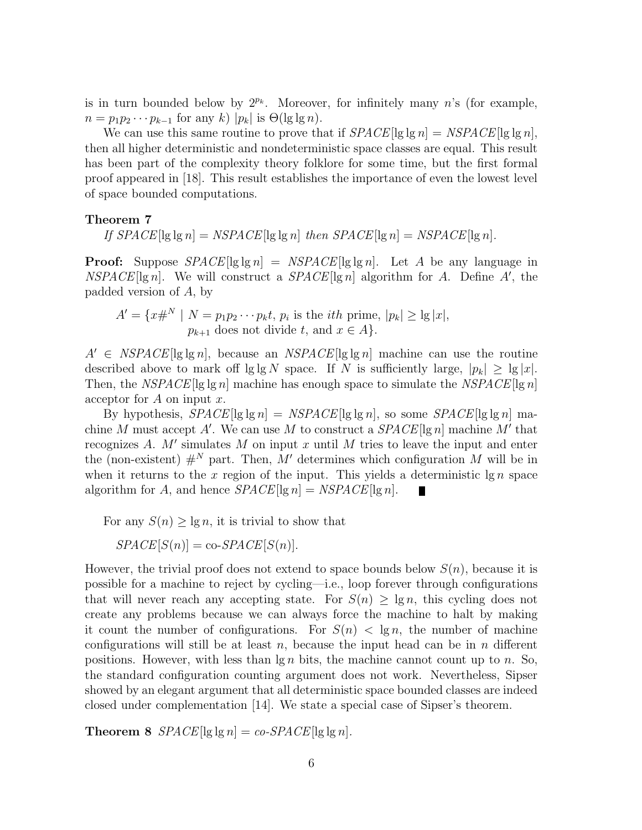is in turn bounded below by  $2^{p_k}$ . Moreover, for infinitely many n's (for example,  $n = p_1 p_2 \cdots p_{k-1}$  for any k)  $|p_k|$  is  $\Theta(\lg \lg n)$ .

We can use this same routine to prove that if  $SPACE[lg \lg n] = NSPACE[lg \lg n]$ , then all higher deterministic and nondeterministic space classes are equal. This result has been part of the complexity theory folklore for some time, but the first formal proof appeared in [18]. This result establishes the importance of even the lowest level of space bounded computations.

#### Theorem 7

If  $SPACE[lg \lg n] = NSPACE[lg \lg n]$  then  $SPACE[lg n] = NSPACE[lg n]$ .

**Proof:** Suppose  $SPACE[lg \lg n] = NSPACE[lg \lg n]$ . Let A be any language in  $NSPACE[lg n]$ . We will construct a  $SPACE[lg n]$  algorithm for A. Define A', the padded version of A, by

$$
A' = \{x\#^N \mid N = p_1p_2\cdots p_kt, p_i \text{ is the } ith prime, |p_k| \ge \lg |x|, p_{k+1} \text{ does not divide } t, \text{ and } x \in A\}.
$$

 $A' \in NSPACE[lg \lg n]$ , because an  $NSPACE[lg \lg n]$  machine can use the routine described above to mark off lg lg N space. If N is sufficiently large,  $|p_k| \geq |g|x|$ . Then, the NSPACE [lg lg n] machine has enough space to simulate the NSPACE [lg n] acceptor for  $A$  on input  $x$ .

By hypothesis,  $SPACE[lg lg n] = NSPACE[lg lg n]$ , so some  $SPACE[lg lg n]$  machine M must accept A'. We can use M to construct a  $SPACE[lg n]$  machine M' that recognizes A.  $M'$  simulates M on input x until M tries to leave the input and enter the (non-existent)  $#^N$  part. Then, M' determines which configuration M will be in when it returns to the x region of the input. This yields a deterministic  $\lg n$  space algorithm for A, and hence  $SPACE[lg n] = NSPACE[lg n]$ .

For any  $S(n) > \lg n$ , it is trivial to show that

 $SPACE[S(n)] = co-SPACE[S(n)].$ 

However, the trivial proof does not extend to space bounds below  $S(n)$ , because it is possible for a machine to reject by cycling—i.e., loop forever through configurations that will never reach any accepting state. For  $S(n) \geq \lg n$ , this cycling does not create any problems because we can always force the machine to halt by making it count the number of configurations. For  $S(n) < \lg n$ , the number of machine configurations will still be at least  $n$ , because the input head can be in  $n$  different positions. However, with less than  $\lg n$  bits, the machine cannot count up to n. So, the standard configuration counting argument does not work. Nevertheless, Sipser showed by an elegant argument that all deterministic space bounded classes are indeed closed under complementation [14]. We state a special case of Sipser's theorem.

**Theorem 8**  $SPACE[lg lg n] = co-SPACE[lg lg n]$ .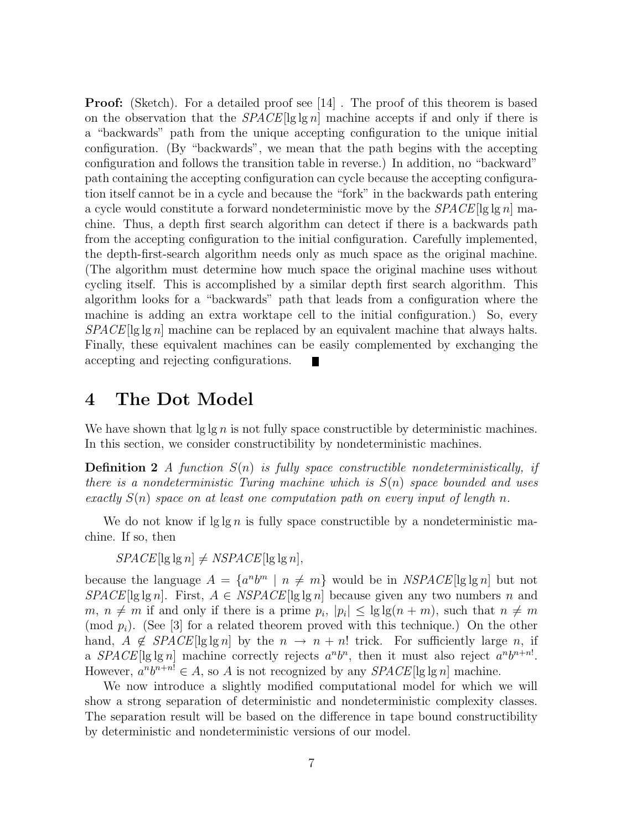**Proof:** (Sketch). For a detailed proof see [14]. The proof of this theorem is based on the observation that the  $SPACE[lg \lg n]$  machine accepts if and only if there is a "backwards" path from the unique accepting configuration to the unique initial configuration. (By "backwards", we mean that the path begins with the accepting configuration and follows the transition table in reverse.) In addition, no "backward" path containing the accepting configuration can cycle because the accepting configuration itself cannot be in a cycle and because the "fork" in the backwards path entering a cycle would constitute a forward nondeterministic move by the  $SPACE[lg\lg n]$  machine. Thus, a depth first search algorithm can detect if there is a backwards path from the accepting configuration to the initial configuration. Carefully implemented, the depth-first-search algorithm needs only as much space as the original machine. (The algorithm must determine how much space the original machine uses without cycling itself. This is accomplished by a similar depth first search algorithm. This algorithm looks for a "backwards" path that leads from a configuration where the machine is adding an extra worktape cell to the initial configuration.) So, every  $SPACE[lg\lg n]$  machine can be replaced by an equivalent machine that always halts. Finally, these equivalent machines can be easily complemented by exchanging the accepting and rejecting configurations.

### 4 The Dot Model

We have shown that  $\lg \ln n$  is not fully space constructible by deterministic machines. In this section, we consider constructibility by nondeterministic machines.

**Definition 2** A function  $S(n)$  is fully space constructible nondeterministically, if there is a nondeterministic Turing machine which is  $S(n)$  space bounded and uses exactly  $S(n)$  space on at least one computation path on every input of length n.

We do not know if  $\lg \lg n$  is fully space constructible by a nondeterministic machine. If so, then

 $SPACE[lg \lg n] \neq NSPACE[lg \lg n],$ 

because the language  $A = \{a^n b^m \mid n \neq m\}$  would be in  $NSPACE[\lg \lg n]$  but not  $SPACE[lg\lg n]$ . First,  $A \in NSPACE[lg\lg n]$  because given any two numbers n and  $m, n \neq m$  if and only if there is a prime  $p_i$ ,  $|p_i| \leq \lg \lg(n+m)$ , such that  $n \neq m$ (mod  $p_i$ ). (See [3] for a related theorem proved with this technique.) On the other hand,  $A \notin SPACE[\lg \lg n]$  by the  $n \to n + n!$  trick. For sufficiently large n, if a  $SPACE[lg lg n]$  machine correctly rejects  $a^n b^n$ , then it must also reject  $a^n b^{n+n}$ . However,  $a^n b^{n+n} \in A$ , so A is not recognized by any  $SPACE[lg \lg n]$  machine.

We now introduce a slightly modified computational model for which we will show a strong separation of deterministic and nondeterministic complexity classes. The separation result will be based on the difference in tape bound constructibility by deterministic and nondeterministic versions of our model.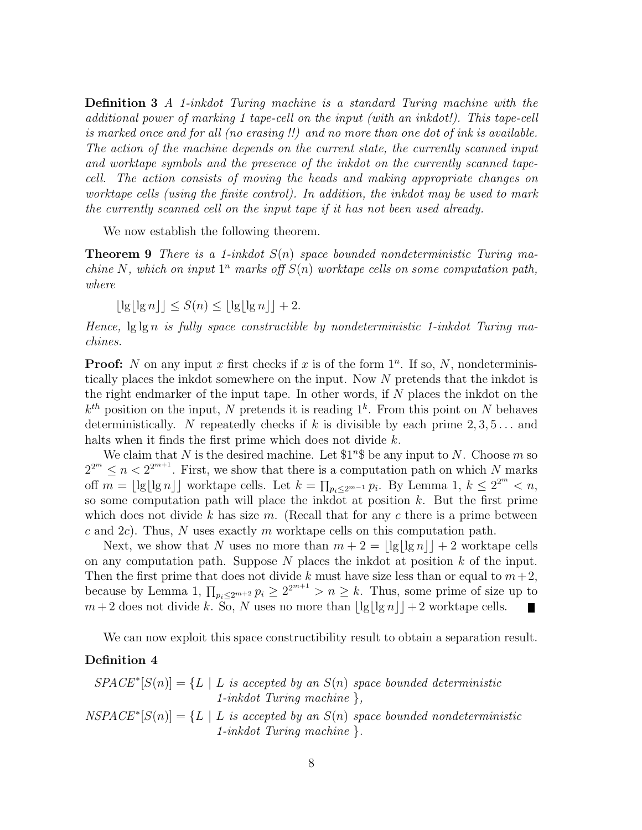Definition 3 A 1-inkdot Turing machine is a standard Turing machine with the additional power of marking 1 tape-cell on the input (with an inkdot!). This tape-cell is marked once and for all (no erasing !!) and no more than one dot of ink is available. The action of the machine depends on the current state, the currently scanned input and worktape symbols and the presence of the inkdot on the currently scanned tapecell. The action consists of moving the heads and making appropriate changes on worktape cells (using the finite control). In addition, the inkdot may be used to mark the currently scanned cell on the input tape if it has not been used already.

We now establish the following theorem.

**Theorem 9** There is a 1-inkdot  $S(n)$  space bounded nondeterministic Turing machine N, which on input  $1^n$  marks off  $S(n)$  worktape cells on some computation path, where

 $|\lg|\lg n| \leq S(n) \leq |\lg|\lg n| + 2.$ 

Hence,  $\lg \lg n$  is fully space constructible by nondeterministic 1-inkdot Turing machines.

**Proof:** N on any input x first checks if x is of the form  $1<sup>n</sup>$ . If so, N, nondeterministically places the inkdot somewhere on the input. Now N pretends that the inkdot is the right endmarker of the input tape. In other words, if  $N$  places the inkdot on the  $k^{th}$  position on the input, N pretends it is reading  $1^k$ . From this point on N behaves deterministically. N repeatedly checks if k is divisible by each prime  $2, 3, 5...$  and halts when it finds the first prime which does not divide k.

We claim that N is the desired machine. Let  $1^n$  be any input to N. Choose m so  $2^{2^m} \le n < 2^{2^{m+1}}$ . First, we show that there is a computation path on which N marks off  $m = \lfloor \lg \lfloor \lg n \rfloor \rfloor$  worktape cells. Let  $k = \prod_{p_i \leq 2^{m-1}} p_i$ . By Lemma 1,  $k \leq 2^{2^m} < n$ , so some computation path will place the inkdot at position  $k$ . But the first prime which does not divide k has size m. (Recall that for any c there is a prime between c and  $2c$ ). Thus, N uses exactly m worktape cells on this computation path.

Next, we show that N uses no more than  $m + 2 = |\lg|\lg n| + 2$  worktape cells on any computation path. Suppose  $N$  places the inkdot at position  $k$  of the input. Then the first prime that does not divide k must have size less than or equal to  $m+2$ , because by Lemma 1,  $\prod_{p_i\leq 2^{m+2}} p_i \geq 2^{2^{m+1}} > n \geq k$ . Thus, some prime of size up to  $m+2$  does not divide k. So, N uses no more than  $\lfloor \lg \lfloor \lg n \rfloor \rfloor + 2$  worktape cells. 

We can now exploit this space constructibility result to obtain a separation result.

#### Definition 4

$$
SPACE^*[S(n)] = \{L \mid L \text{ is accepted by an } S(n) \text{ space bounded deterministic } 1\text{-inkdot Turing machine }\},
$$
  

$$
NSPACE^*[S(n)] = \{L \mid L \text{ is accepted by an } S(n) \text{ space bounded nondeterministic } 1\text{-inkdot Turing machine }\}.
$$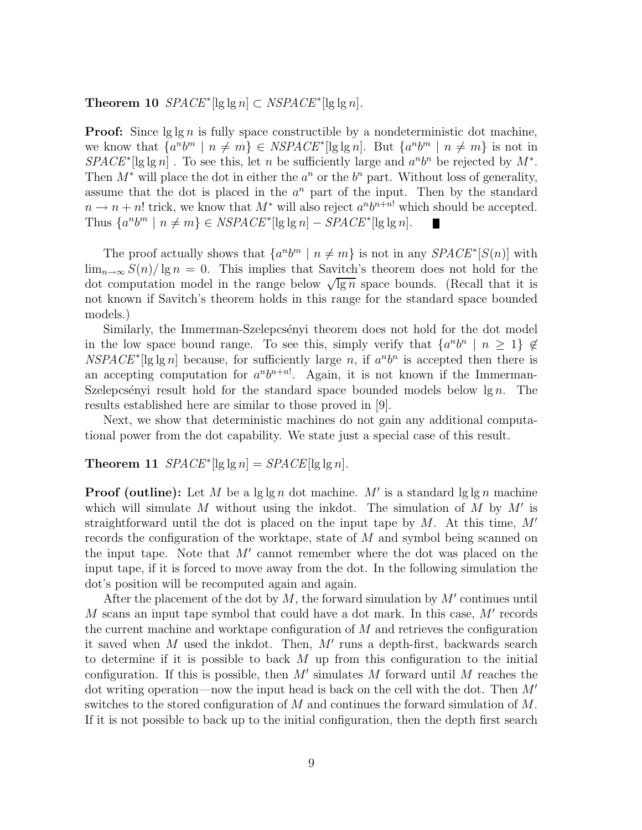**Theorem 10**  $SPACE^*[\lg \lg n] \subset NSPACE^*[\lg \lg n]$ .

**Proof:** Since  $\lg \lg n$  is fully space constructible by a nondeterministic dot machine, we know that  $\{a^n b^m \mid n \neq m\} \in NSPACE^*[\lg \lg n]$ . But  $\{a^n b^m \mid n \neq m\}$  is not in  $SPACE^*[\lg \lg n]$ . To see this, let n be sufficiently large and  $a^n b^n$  be rejected by  $M^*$ . Then  $M^*$  will place the dot in either the  $a^n$  or the  $b^n$  part. Without loss of generality, assume that the dot is placed in the  $a^n$  part of the input. Then by the standard  $n \to n+n!$  trick, we know that  $M^*$  will also reject  $a^n b^{n+n!}$  which should be accepted. Thus  $\{a^n b^m \mid n \neq m\} \in NSPACE^*[\lg \lg n] - SPACE^*[\lg \lg n]$ .

The proof actually shows that  $\{a^n b^m \mid n \neq m\}$  is not in any  $SPACE^*[S(n)]$  with  $\lim_{n\to\infty}S(n)/\lg n=0$ . This implies that Savitch's theorem does not hold for the dot computation model in the range below  $\sqrt{\lg n}$  space bounds. (Recall that it is not known if Savitch's theorem holds in this range for the standard space bounded models.)

Similarly, the Immerman-Szelepcsényi theorem does not hold for the dot model in the low space bound range. To see this, simply verify that  $\{a^nb^n \mid n \geq 1\} \notin$  $NSPACE^*[\lg \lg n]$  because, for sufficiently large n, if  $a^n b^n$  is accepted then there is an accepting computation for  $a^n b^{n+n}$ . Again, it is not known if the Immerman-Szelepcsényi result hold for the standard space bounded models below  $\lg n$ . The results established here are similar to those proved in [9].

Next, we show that deterministic machines do not gain any additional computational power from the dot capability. We state just a special case of this result.

### Theorem 11  $SPACE^*[\lg \lg n] = SPACE[\lg \lg n]$ .

**Proof (outline):** Let M be a  $\lg \lg n$  dot machine. M' is a standard  $\lg \lg n$  machine which will simulate  $M$  without using the inkdot. The simulation of  $M$  by  $M'$  is straightforward until the dot is placed on the input tape by  $M$ . At this time,  $M'$ records the configuration of the worktape, state of M and symbol being scanned on the input tape. Note that  $M'$  cannot remember where the dot was placed on the input tape, if it is forced to move away from the dot. In the following simulation the dot's position will be recomputed again and again.

After the placement of the dot by  $M$ , the forward simulation by  $M'$  continues until M scans an input tape symbol that could have a dot mark. In this case, M' records the current machine and worktape configuration of M and retrieves the configuration it saved when  $M$  used the inkdot. Then,  $M'$  runs a depth-first, backwards search to determine if it is possible to back  $M$  up from this configuration to the initial configuration. If this is possible, then  $M'$  simulates  $M$  forward until  $M$  reaches the dot writing operation—now the input head is back on the cell with the dot. Then M′ switches to the stored configuration of M and continues the forward simulation of M. If it is not possible to back up to the initial configuration, then the depth first search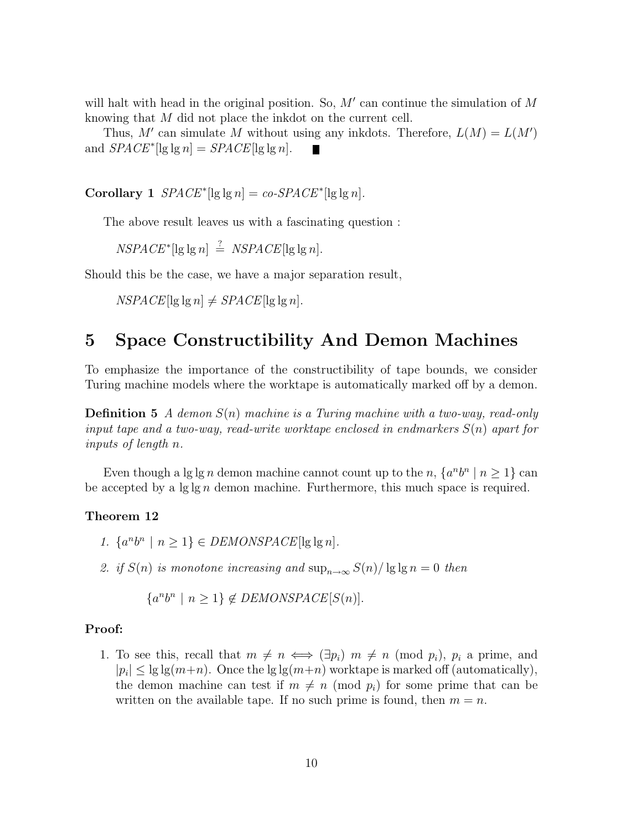will halt with head in the original position. So, M' can continue the simulation of M knowing that M did not place the inkdot on the current cell.

Thus, M' can simulate M without using any inkdots. Therefore,  $L(M) = L(M')$ and  $SPACE^*[\lg \lg n] = SPACE[\lg \lg n]$ . Ш

Corollary 1  $SPACE^*$  [lg lg n] = co-SPACE<sup>\*</sup> [lg lg n].

The above result leaves us with a fascinating question :

 $NSPACE^*[\lg \lg n] \stackrel{?}{=} NSPACE[\lg \lg n].$ 

Should this be the case, we have a major separation result,

 $NSPACE[lg lg n] \neq SPACE[lg lg n].$ 

## 5 Space Constructibility And Demon Machines

To emphasize the importance of the constructibility of tape bounds, we consider Turing machine models where the worktape is automatically marked off by a demon.

**Definition 5** A demon  $S(n)$  machine is a Turing machine with a two-way, read-only input tape and a two-way, read-write worktape enclosed in endmarkers  $S(n)$  apart for inputs of length n.

Even though a lg lg n demon machine cannot count up to the n,  $\{a^n b^n \mid n \ge 1\}$  can be accepted by a  $\lg \lg n$  demon machine. Furthermore, this much space is required.

#### Theorem 12

- 1.  $\{a^n b^n \mid n \ge 1\} \in DEMONSPACE[\lg \lg n].$
- 2. if  $S(n)$  is monotone increasing and  $\sup_{n\to\infty} S(n)/\lg\lg n = 0$  then

 $\{a^n b^n \mid n \ge 1\} \notin DEMONSPACE[S(n)].$ 

#### Proof:

1. To see this, recall that  $m \neq n \iff (\exists p_i) \ m \neq n \pmod{p_i}$ ,  $p_i$  a prime, and  $|p_i| \leq \lg \lg(m+n)$ . Once the  $\lg \lg(m+n)$  worktape is marked off (automatically), the demon machine can test if  $m \neq n \pmod{p_i}$  for some prime that can be written on the available tape. If no such prime is found, then  $m = n$ .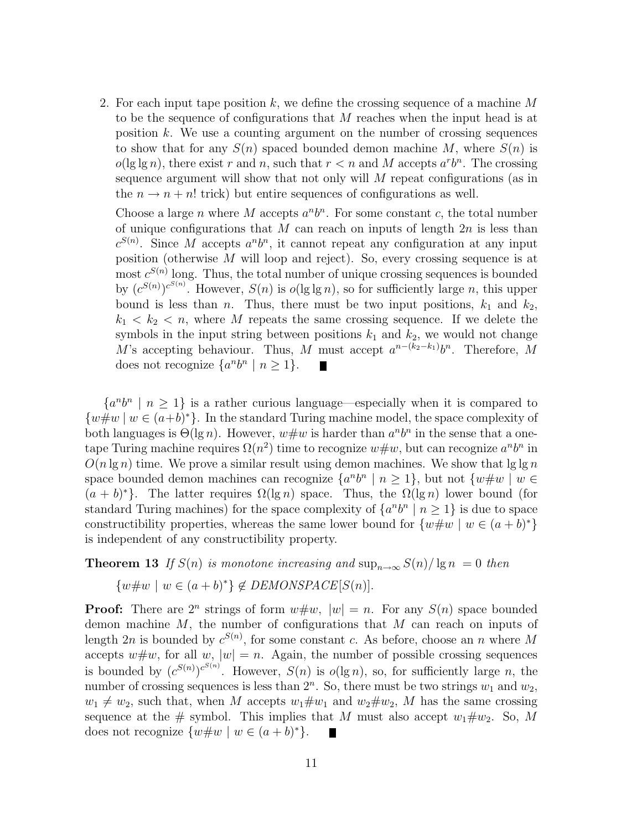2. For each input tape position  $k$ , we define the crossing sequence of a machine  $M$ to be the sequence of configurations that M reaches when the input head is at position  $k$ . We use a counting argument on the number of crossing sequences to show that for any  $S(n)$  spaced bounded demon machine M, where  $S(n)$  is  $o(\lg \lg n)$ , there exist r and n, such that  $r < n$  and M accepts  $a^r b^n$ . The crossing sequence argument will show that not only will  $M$  repeat configurations (as in the  $n \to n + n!$  trick) but entire sequences of configurations as well.

Choose a large n where M accepts  $a<sup>n</sup>b<sup>n</sup>$ . For some constant c, the total number of unique configurations that M can reach on inputs of length  $2n$  is less than  $c^{S(n)}$ . Since M accepts  $a^n b^n$ , it cannot repeat any configuration at any input position (otherwise  $M$  will loop and reject). So, every crossing sequence is at most  $c^{S(n)}$  long. Thus, the total number of unique crossing sequences is bounded by  $(c^{S(n)})^{c^{S(n)}}$ . However,  $S(n)$  is  $o(\lg \lg n)$ , so for sufficiently large n, this upper bound is less than n. Thus, there must be two input positions,  $k_1$  and  $k_2$ ,  $k_1 < k_2 < n$ , where M repeats the same crossing sequence. If we delete the symbols in the input string between positions  $k_1$  and  $k_2$ , we would not change M's accepting behaviour. Thus, M must accept  $a^{n-(k_2-k_1)}b^n$ . Therefore, M does not recognize  $\{a^n b^n \mid n \ge 1\}.$  $\blacksquare$ 

 $\{a^n b^n \mid n \geq 1\}$  is a rather curious language—especially when it is compared to  $\{w\#w \mid w \in (a+b)^*\}$ . In the standard Turing machine model, the space complexity of both languages is  $\Theta(\lg n)$ . However,  $w \# w$  is harder than  $a^n b^n$  in the sense that a onetape Turing machine requires  $\Omega(n^2)$  time to recognize  $w \# w$ , but can recognize  $a^n b^n$  in  $O(n \lg n)$  time. We prove a similar result using demon machines. We show that  $\lg \lg n$ space bounded demon machines can recognize  $\{a^n b^n \mid n \ge 1\}$ , but not  $\{w \ne w \mid w \in \mathbb{R}\}$  $(a + b)^*$ . The latter requires  $\Omega(\lg n)$  space. Thus, the  $\Omega(\lg n)$  lower bound (for standard Turing machines) for the space complexity of  $\{a^n b^n \mid n \ge 1\}$  is due to space constructibility properties, whereas the same lower bound for  $\{w\#w \mid w \in (a+b)^*\}$ is independent of any constructibility property.

**Theorem 13** If  $S(n)$  is monotone increasing and  $\sup_{n\to\infty} S(n)/\lg n = 0$  then

$$
\{w \# w \mid w \in (a+b)^*\} \notin DEMONSPACE[S(n)].
$$

**Proof:** There are  $2^n$  strings of form  $w \neq w$ ,  $|w| = n$ . For any  $S(n)$  space bounded demon machine  $M$ , the number of configurations that  $M$  can reach on inputs of length  $2n$  is bounded by  $c^{S(n)}$ , for some constant c. As before, choose an n where M accepts  $w \# w$ , for all  $w$ ,  $|w| = n$ . Again, the number of possible crossing sequences is bounded by  $(c^{S(n)})^{c^{S(n)}}$ . However,  $S(n)$  is  $o(\lg n)$ , so, for sufficiently large n, the number of crossing sequences is less than  $2^n$ . So, there must be two strings  $w_1$  and  $w_2$ ,  $w_1 \neq w_2$ , such that, when M accepts  $w_1 \# w_1$  and  $w_2 \# w_2$ , M has the same crossing sequence at the # symbol. This implies that M must also accept  $w_1 \# w_2$ . So, M does not recognize  $\{w\#w \mid w \in (a+b)^*\}.$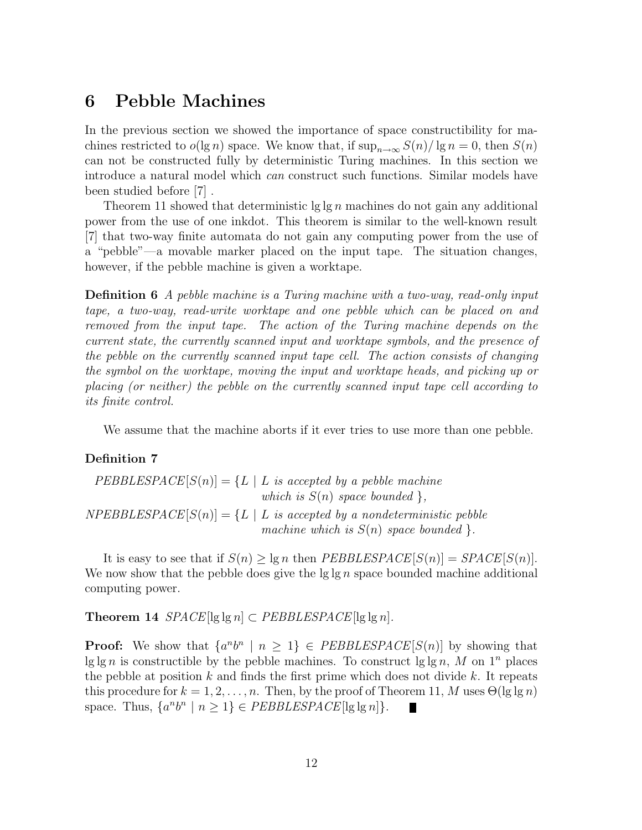# 6 Pebble Machines

In the previous section we showed the importance of space constructibility for machines restricted to  $o(\lg n)$  space. We know that, if  $\sup_{n\to\infty} S(n)/\lg n = 0$ , then  $S(n)$ can not be constructed fully by deterministic Turing machines. In this section we introduce a natural model which can construct such functions. Similar models have been studied before [7] .

Theorem 11 showed that deterministic  $\lg \lg n$  machines do not gain any additional power from the use of one inkdot. This theorem is similar to the well-known result [7] that two-way finite automata do not gain any computing power from the use of a "pebble"—a movable marker placed on the input tape. The situation changes, however, if the pebble machine is given a worktape.

Definition 6 A pebble machine is a Turing machine with a two-way, read-only input tape, a two-way, read-write worktape and one pebble which can be placed on and removed from the input tape. The action of the Turing machine depends on the current state, the currently scanned input and worktape symbols, and the presence of the pebble on the currently scanned input tape cell. The action consists of changing the symbol on the worktape, moving the input and worktape heads, and picking up or placing (or neither) the pebble on the currently scanned input tape cell according to its finite control.

We assume that the machine aborts if it ever tries to use more than one pebble.

#### Definition 7

 $PEBBLESPACE[S(n)] = \{L \mid L \text{ is accepted by a peble machine}\}$ which is  $S(n)$  space bounded },  $NPEBBLESPACE[S(n)] = \{L \mid L \text{ is accepted by a nondeterministic peible}\}$ machine which is  $S(n)$  space bounded }.

It is easy to see that if  $S(n) > \lg n$  then PEBBLESPACE[ $S(n)$ ] = SPACE[ $S(n)$ ]. We now show that the pebble does give the  $\lg \lg n$  space bounded machine additional computing power.

Theorem 14  $SPACE$ [lg lg n]  $\subset PEBBLESPACE$ [lg lg n].

**Proof:** We show that  $\{a^n b^n \mid n \geq 1\} \in \text{PEBBLESPACE}[S(n)]$  by showing that lg lg n is constructible by the pebble machines. To construct lg lg n, M on  $1^n$  places the pebble at position  $k$  and finds the first prime which does not divide  $k$ . It repeats this procedure for  $k = 1, 2, ..., n$ . Then, by the proof of Theorem 11, M uses  $\Theta(\lg \lg n)$ space. Thus,  $\{a^n b^n \mid n \ge 1\} \in PEBBLESPACE[\lg \lg n]\}.$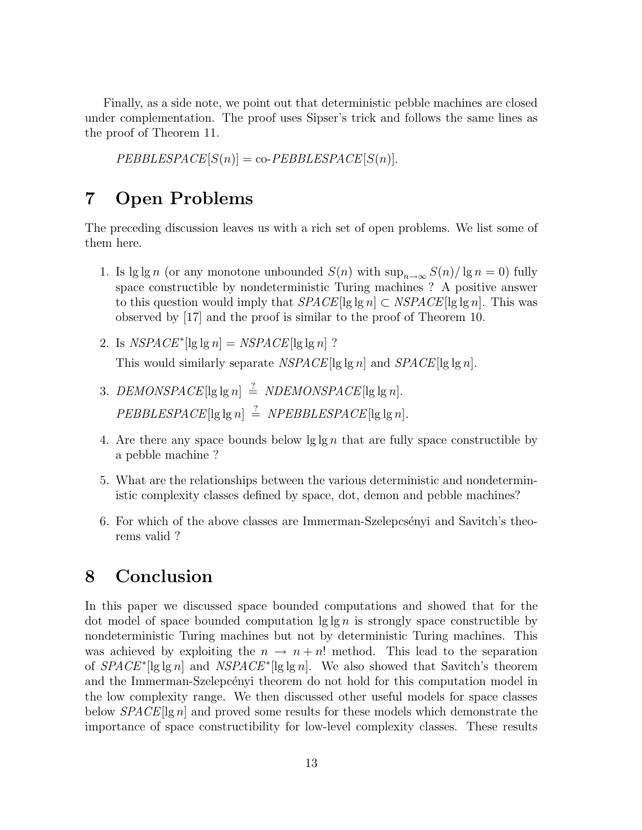Finally, as a side note, we point out that deterministic pebble machines are closed under complementation. The proof uses Sipser's trick and follows the same lines as the proof of Theorem 11.

 $PEBBLESPACE[S(n)] = co-PEBBLESPACE[S(n)].$ 

# 7 Open Problems

The preceding discussion leaves us with a rich set of open problems. We list some of them here.

- 1. Is  $\lg \lg n$  (or any monotone unbounded  $S(n)$  with  $\sup_{n\to\infty} S(n)/\lg n = 0$ ) fully space constructible by nondeterministic Turing machines ? A positive answer to this question would imply that  $SPACE[lg \lg n] \subset NSPACE[lg \lg n]$ . This was observed by [17] and the proof is similar to the proof of Theorem 10.
- 2. Is  $NSPACE^*[\lg \lg n] = NSPACE[\lg \lg n]$  ? This would similarly separate  $NSPACE[lg \lg n]$  and  $SPACE[lg \lg n]$ .
- 3. DEMONSPACE[lg lg n]  $\stackrel{?}{=}$  NDEMONSPACE[lg lg n].  $PEBBLESPACE$ [lg lg n]  $\stackrel{?}{=} NPEBBLESPACE$ [lg lg n].
- 4. Are there any space bounds below  $\lg \lg n$  that are fully space constructible by a pebble machine ?
- 5. What are the relationships between the various deterministic and nondeterministic complexity classes defined by space, dot, demon and pebble machines?
- 6. For which of the above classes are Immerman-Szelepcsényi and Savitch's theorems valid ?

# 8 Conclusion

In this paper we discussed space bounded computations and showed that for the dot model of space bounded computation  $\lg \lg n$  is strongly space constructible by nondeterministic Turing machines but not by deterministic Turing machines. This was achieved by exploiting the  $n \to n+n!$  method. This lead to the separation of  $SPACE^*$ [lg lg n] and  $NSPACE^*$ [lg lg n]. We also showed that Savitch's theorem and the Immerman-Szelepcenyi theorem do not hold for this computation model in the low complexity range. We then discussed other useful models for space classes below  $SPACE[lg n]$  and proved some results for these models which demonstrate the importance of space constructibility for low-level complexity classes. These results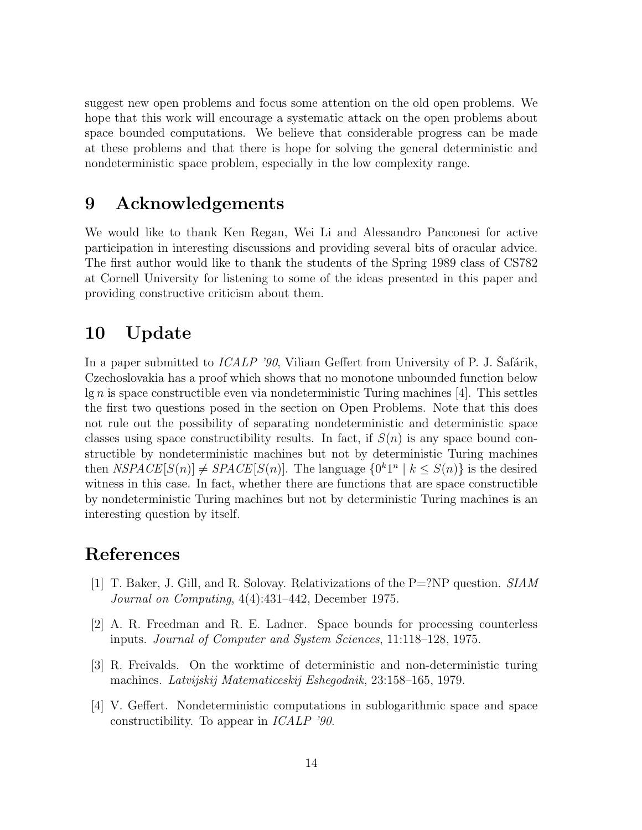suggest new open problems and focus some attention on the old open problems. We hope that this work will encourage a systematic attack on the open problems about space bounded computations. We believe that considerable progress can be made at these problems and that there is hope for solving the general deterministic and nondeterministic space problem, especially in the low complexity range.

## 9 Acknowledgements

We would like to thank Ken Regan, Wei Li and Alessandro Panconesi for active participation in interesting discussions and providing several bits of oracular advice. The first author would like to thank the students of the Spring 1989 class of CS782 at Cornell University for listening to some of the ideas presented in this paper and providing constructive criticism about them.

# 10 Update

In a paper submitted to  $ICALP'90$ , Viliam Geffert from University of P. J. Safárik, Czechoslovakia has a proof which shows that no monotone unbounded function below  $\lg n$  is space constructible even via nondeterministic Turing machines [4]. This settles the first two questions posed in the section on Open Problems. Note that this does not rule out the possibility of separating nondeterministic and deterministic space classes using space constructibility results. In fact, if  $S(n)$  is any space bound constructible by nondeterministic machines but not by deterministic Turing machines then  $NSPACE[S(n)] \neq SPACE[S(n)]$ . The language  $\{0^k1^n \mid k \leq S(n)\}$  is the desired witness in this case. In fact, whether there are functions that are space constructible by nondeterministic Turing machines but not by deterministic Turing machines is an interesting question by itself.

## References

- [1] T. Baker, J. Gill, and R. Solovay. Relativizations of the P=?NP question. SIAM Journal on Computing, 4(4):431–442, December 1975.
- [2] A. R. Freedman and R. E. Ladner. Space bounds for processing counterless inputs. Journal of Computer and System Sciences, 11:118–128, 1975.
- [3] R. Freivalds. On the worktime of deterministic and non-deterministic turing machines. Latvijskij Matematiceskij Eshegodnik, 23:158–165, 1979.
- [4] V. Geffert. Nondeterministic computations in sublogarithmic space and space constructibility. To appear in ICALP '90.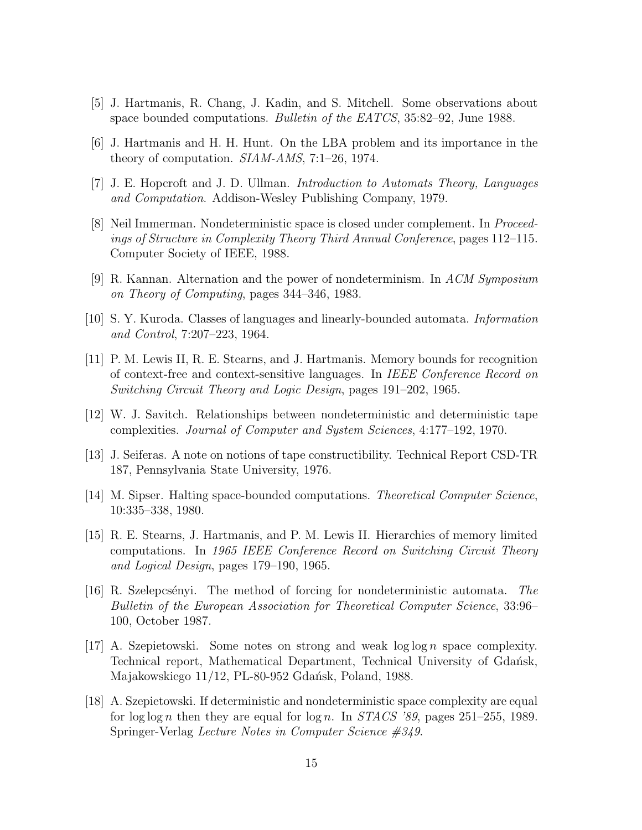- [5] J. Hartmanis, R. Chang, J. Kadin, and S. Mitchell. Some observations about space bounded computations. Bulletin of the EATCS, 35:82–92, June 1988.
- [6] J. Hartmanis and H. H. Hunt. On the LBA problem and its importance in the theory of computation. SIAM-AMS, 7:1–26, 1974.
- [7] J. E. Hopcroft and J. D. Ullman. Introduction to Automats Theory, Languages and Computation. Addison-Wesley Publishing Company, 1979.
- [8] Neil Immerman. Nondeterministic space is closed under complement. In Proceedings of Structure in Complexity Theory Third Annual Conference, pages 112–115. Computer Society of IEEE, 1988.
- [9] R. Kannan. Alternation and the power of nondeterminism. In  $ACM$  Symposium on Theory of Computing, pages 344–346, 1983.
- [10] S. Y. Kuroda. Classes of languages and linearly-bounded automata. Information and Control, 7:207–223, 1964.
- [11] P. M. Lewis II, R. E. Stearns, and J. Hartmanis. Memory bounds for recognition of context-free and context-sensitive languages. In IEEE Conference Record on Switching Circuit Theory and Logic Design, pages 191–202, 1965.
- [12] W. J. Savitch. Relationships between nondeterministic and deterministic tape complexities. Journal of Computer and System Sciences, 4:177–192, 1970.
- [13] J. Seiferas. A note on notions of tape constructibility. Technical Report CSD-TR 187, Pennsylvania State University, 1976.
- [14] M. Sipser. Halting space-bounded computations. Theoretical Computer Science, 10:335–338, 1980.
- [15] R. E. Stearns, J. Hartmanis, and P. M. Lewis II. Hierarchies of memory limited computations. In 1965 IEEE Conference Record on Switching Circuit Theory and Logical Design, pages 179–190, 1965.
- [16] R. Szelepcsényi. The method of forcing for nondeterministic automata. The Bulletin of the European Association for Theoretical Computer Science, 33:96– 100, October 1987.
- [17] A. Szepietowski. Some notes on strong and weak  $\log \log n$  space complexity. Technical report, Mathematical Department, Technical University of Gdansk, Majakowskiego 11/12, PL-80-952 Gdańsk, Poland, 1988.
- [18] A. Szepietowski. If deterministic and nondeterministic space complexity are equal for log log n then they are equal for log n. In  $STACS$  '89, pages 251–255, 1989. Springer-Verlag Lecture Notes in Computer Science #349.